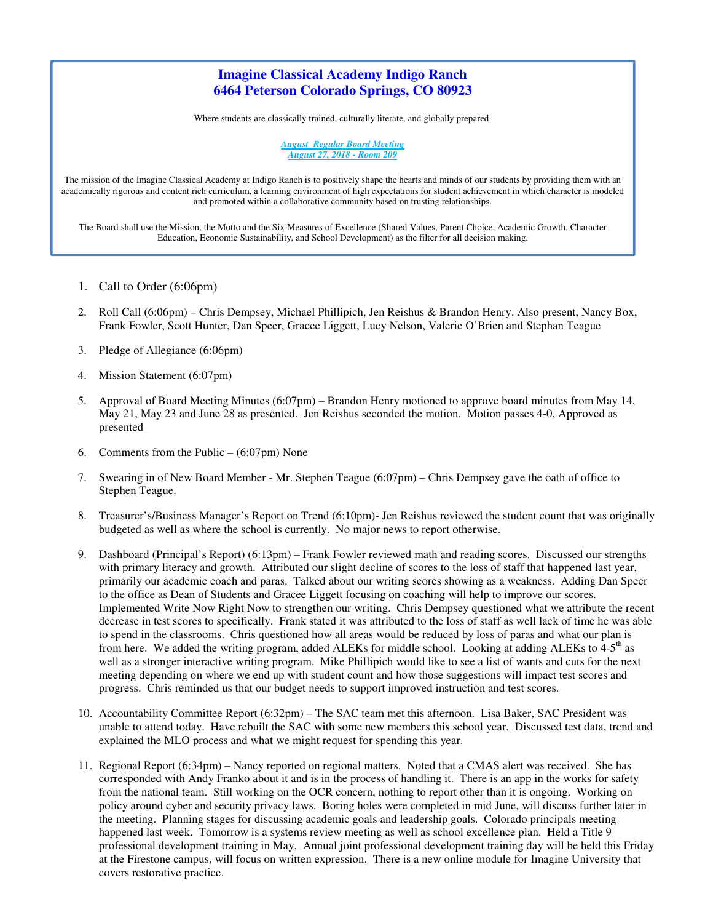# **Imagine Classical Academy Indigo Ranch 6464 Peterson Colorado Springs, CO 80923**

Where students are classically trained, culturally literate, and globally prepared.

*August Regular Board Meeting August 27, 2018 - Room 209* 

The mission of the Imagine Classical Academy at Indigo Ranch is to positively shape the hearts and minds of our students by providing them with an academically rigorous and content rich curriculum, a learning environment of high expectations for student achievement in which character is modeled and promoted within a collaborative community based on trusting relationships.

The Board shall use the Mission, the Motto and the Six Measures of Excellence (Shared Values, Parent Choice, Academic Growth, Character Education, Economic Sustainability, and School Development) as the filter for all decision making.

- 1. Call to Order (6:06pm)
- 2. Roll Call (6:06pm) Chris Dempsey, Michael Phillipich, Jen Reishus & Brandon Henry. Also present, Nancy Box, Frank Fowler, Scott Hunter, Dan Speer, Gracee Liggett, Lucy Nelson, Valerie O'Brien and Stephan Teague
- 3. Pledge of Allegiance (6:06pm)
- 4. Mission Statement (6:07pm)
- 5. Approval of Board Meeting Minutes (6:07pm) Brandon Henry motioned to approve board minutes from May 14, May 21, May 23 and June 28 as presented. Jen Reishus seconded the motion. Motion passes 4-0, Approved as presented
- 6. Comments from the Public  $(6:07 \text{pm})$  None
- 7. Swearing in of New Board Member Mr. Stephen Teague (6:07pm) Chris Dempsey gave the oath of office to Stephen Teague.
- 8. Treasurer's/Business Manager's Report on Trend (6:10pm)- Jen Reishus reviewed the student count that was originally budgeted as well as where the school is currently. No major news to report otherwise.
- 9. Dashboard (Principal's Report) (6:13pm) Frank Fowler reviewed math and reading scores. Discussed our strengths with primary literacy and growth. Attributed our slight decline of scores to the loss of staff that happened last year, primarily our academic coach and paras. Talked about our writing scores showing as a weakness. Adding Dan Speer to the office as Dean of Students and Gracee Liggett focusing on coaching will help to improve our scores. Implemented Write Now Right Now to strengthen our writing. Chris Dempsey questioned what we attribute the recent decrease in test scores to specifically. Frank stated it was attributed to the loss of staff as well lack of time he was able to spend in the classrooms. Chris questioned how all areas would be reduced by loss of paras and what our plan is from here. We added the writing program, added ALEKs for middle school. Looking at adding ALEKs to 4-5<sup>th</sup> as well as a stronger interactive writing program. Mike Phillipich would like to see a list of wants and cuts for the next meeting depending on where we end up with student count and how those suggestions will impact test scores and progress. Chris reminded us that our budget needs to support improved instruction and test scores.
- 10. Accountability Committee Report (6:32pm) The SAC team met this afternoon. Lisa Baker, SAC President was unable to attend today. Have rebuilt the SAC with some new members this school year. Discussed test data, trend and explained the MLO process and what we might request for spending this year.
- 11. Regional Report (6:34pm) Nancy reported on regional matters. Noted that a CMAS alert was received. She has corresponded with Andy Franko about it and is in the process of handling it. There is an app in the works for safety from the national team. Still working on the OCR concern, nothing to report other than it is ongoing. Working on policy around cyber and security privacy laws. Boring holes were completed in mid June, will discuss further later in the meeting. Planning stages for discussing academic goals and leadership goals. Colorado principals meeting happened last week. Tomorrow is a systems review meeting as well as school excellence plan. Held a Title 9 professional development training in May. Annual joint professional development training day will be held this Friday at the Firestone campus, will focus on written expression. There is a new online module for Imagine University that covers restorative practice.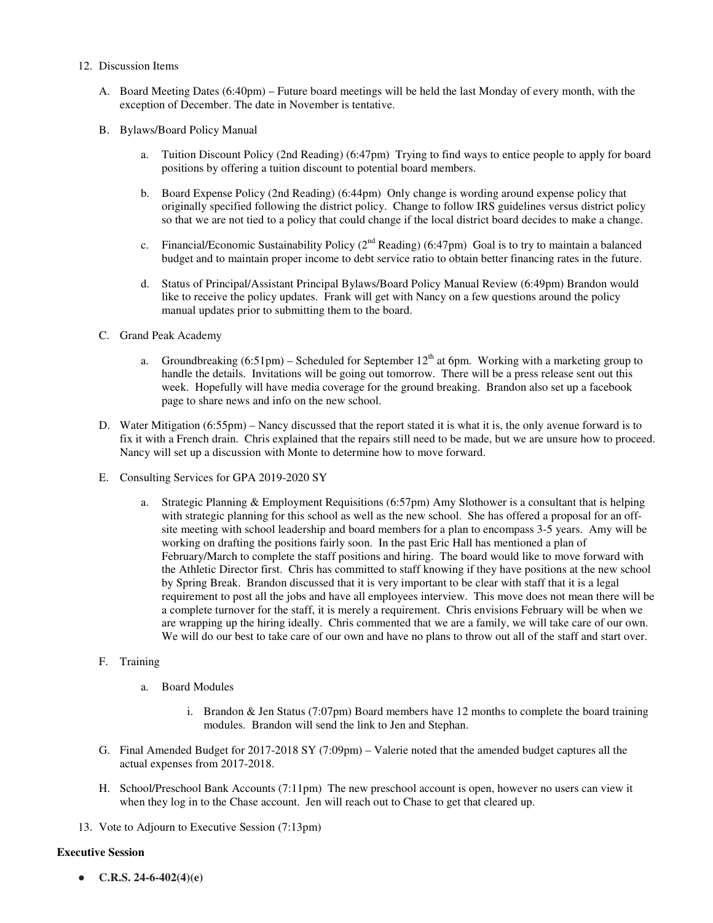- 12. Discussion Items
	- A. Board Meeting Dates (6:40pm) Future board meetings will be held the last Monday of every month, with the exception of December. The date in November is tentative.
	- B. Bylaws/Board Policy Manual
		- a. Tuition Discount Policy (2nd Reading) (6:47pm) Trying to find ways to entice people to apply for board positions by offering a tuition discount to potential board members.
		- b. Board Expense Policy (2nd Reading) (6:44pm) Only change is wording around expense policy that originally specified following the district policy. Change to follow IRS guidelines versus district policy so that we are not tied to a policy that could change if the local district board decides to make a change.
		- c. Financial/Economic Sustainability Policy ( $2<sup>nd</sup>$  Reading) (6:47pm) Goal is to try to maintain a balanced budget and to maintain proper income to debt service ratio to obtain better financing rates in the future.
		- d. Status of Principal/Assistant Principal Bylaws/Board Policy Manual Review (6:49pm) Brandon would like to receive the policy updates. Frank will get with Nancy on a few questions around the policy manual updates prior to submitting them to the board.
	- C. Grand Peak Academy
		- a. Groundbreaking  $(6:51 \text{pm})$  Scheduled for September 12<sup>th</sup> at 6pm. Working with a marketing group to handle the details. Invitations will be going out tomorrow. There will be a press release sent out this week. Hopefully will have media coverage for the ground breaking. Brandon also set up a facebook page to share news and info on the new school.
	- D. Water Mitigation (6:55pm) Nancy discussed that the report stated it is what it is, the only avenue forward is to fix it with a French drain. Chris explained that the repairs still need to be made, but we are unsure how to proceed. Nancy will set up a discussion with Monte to determine how to move forward.
	- E. Consulting Services for GPA 2019-2020 SY
		- a. Strategic Planning & Employment Requisitions (6:57pm) Amy Slothower is a consultant that is helping with strategic planning for this school as well as the new school. She has offered a proposal for an offsite meeting with school leadership and board members for a plan to encompass 3-5 years. Amy will be working on drafting the positions fairly soon. In the past Eric Hall has mentioned a plan of February/March to complete the staff positions and hiring. The board would like to move forward with the Athletic Director first. Chris has committed to staff knowing if they have positions at the new school by Spring Break. Brandon discussed that it is very important to be clear with staff that it is a legal requirement to post all the jobs and have all employees interview. This move does not mean there will be a complete turnover for the staff, it is merely a requirement. Chris envisions February will be when we are wrapping up the hiring ideally. Chris commented that we are a family, we will take care of our own. We will do our best to take care of our own and have no plans to throw out all of the staff and start over.

#### F. Training

- a. Board Modules
	- i. Brandon & Jen Status (7:07pm) Board members have 12 months to complete the board training modules. Brandon will send the link to Jen and Stephan.
- G. Final Amended Budget for 2017-2018 SY (7:09pm) Valerie noted that the amended budget captures all the actual expenses from 2017-2018.
- H. School/Preschool Bank Accounts (7:11pm) The new preschool account is open, however no users can view it when they log in to the Chase account. Jen will reach out to Chase to get that cleared up.
- 13. Vote to Adjourn to Executive Session (7:13pm)

#### **Executive Session**

● **C.R.S. 24-6-402(4)(e)**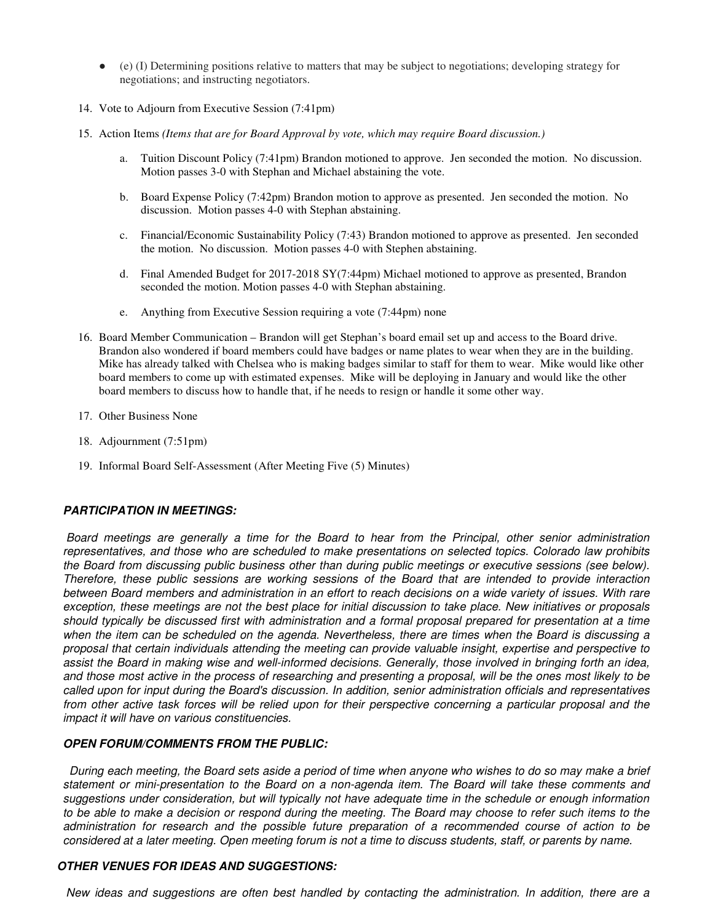- (e) (I) Determining positions relative to matters that may be subject to negotiations; developing strategy for negotiations; and instructing negotiators.
- 14. Vote to Adjourn from Executive Session (7:41pm)
- 15. Action Items *(Items that are for Board Approval by vote, which may require Board discussion.)*
	- a. Tuition Discount Policy (7:41pm) Brandon motioned to approve. Jen seconded the motion. No discussion. Motion passes 3-0 with Stephan and Michael abstaining the vote.
	- b. Board Expense Policy (7:42pm) Brandon motion to approve as presented. Jen seconded the motion. No discussion. Motion passes 4-0 with Stephan abstaining.
	- c. Financial/Economic Sustainability Policy (7:43) Brandon motioned to approve as presented. Jen seconded the motion. No discussion. Motion passes 4-0 with Stephen abstaining.
	- d. Final Amended Budget for 2017-2018 SY(7:44pm) Michael motioned to approve as presented, Brandon seconded the motion. Motion passes 4-0 with Stephan abstaining.
	- e. Anything from Executive Session requiring a vote (7:44pm) none
- 16. Board Member Communication Brandon will get Stephan's board email set up and access to the Board drive. Brandon also wondered if board members could have badges or name plates to wear when they are in the building. Mike has already talked with Chelsea who is making badges similar to staff for them to wear. Mike would like other board members to come up with estimated expenses. Mike will be deploying in January and would like the other board members to discuss how to handle that, if he needs to resign or handle it some other way.
- 17. Other Business None
- 18. Adjournment (7:51pm)
- 19. Informal Board Self-Assessment (After Meeting Five (5) Minutes)

#### **PARTICIPATION IN MEETINGS:**

 *Board meetings are generally a time for the Board to hear from the Principal, other senior administration representatives, and those who are scheduled to make presentations on selected topics. Colorado law prohibits the Board from discussing public business other than during public meetings or executive sessions (see below). Therefore, these public sessions are working sessions of the Board that are intended to provide interaction between Board members and administration in an effort to reach decisions on a wide variety of issues. With rare exception, these meetings are not the best place for initial discussion to take place. New initiatives or proposals should typically be discussed first with administration and a formal proposal prepared for presentation at a time when the item can be scheduled on the agenda. Nevertheless, there are times when the Board is discussing a proposal that certain individuals attending the meeting can provide valuable insight, expertise and perspective to assist the Board in making wise and well-informed decisions. Generally, those involved in bringing forth an idea, and those most active in the process of researching and presenting a proposal, will be the ones most likely to be called upon for input during the Board's discussion. In addition, senior administration officials and representatives from other active task forces will be relied upon for their perspective concerning a particular proposal and the impact it will have on various constituencies.* 

#### **OPEN FORUM/COMMENTS FROM THE PUBLIC:**

 *During each meeting, the Board sets aside a period of time when anyone who wishes to do so may make a brief statement or mini-presentation to the Board on a non-agenda item. The Board will take these comments and suggestions under consideration, but will typically not have adequate time in the schedule or enough information to be able to make a decision or respond during the meeting. The Board may choose to refer such items to the administration for research and the possible future preparation of a recommended course of action to be considered at a later meeting. Open meeting forum is not a time to discuss students, staff, or parents by name.* 

## **OTHER VENUES FOR IDEAS AND SUGGESTIONS:**

 *New ideas and suggestions are often best handled by contacting the administration. In addition, there are a*